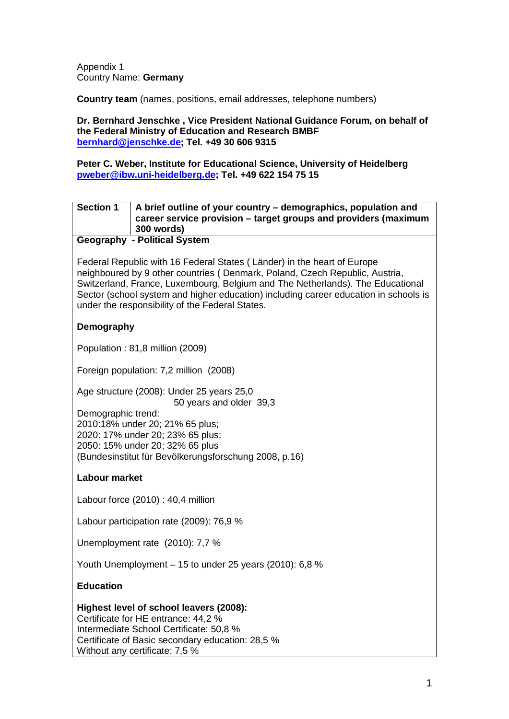Appendix 1 Country Name: **Germany**

**Country team** (names, positions, email addresses, telephone numbers)

#### **Dr. Bernhard Jenschke , Vice President National Guidance Forum, on behalf of the Federal Ministry of Education and Research BMBF [bernhard@jenschke.de;](mailto:bernhard@jenschke.de) Tel. +49 30 606 9315**

**Peter C. Weber, Institute for Educational Science, University of Heidelberg [pweber@ibw.uni-heidelberg.de;](mailto:pweber@ibw.uni-heidelberg.de) Tel. +49 622 154 75 15**

## **Section 1 A brief outline of your country – demographics, population and career service provision – target groups and providers (maximum 300 words)**

#### **Geography - Political System**

Federal Republic with 16 Federal States ( Länder) in the heart of Europe neighboured by 9 other countries ( Denmark, Poland, Czech Republic, Austria, Switzerland, France, Luxembourg, Belgium and The Netherlands). The Educational Sector (school system and higher education) including career education in schools is under the responsibility of the Federal States.

### **Demography**

Population : 81,8 million (2009)

Foreign population: 7,2 million (2008)

Age structure (2008): Under 25 years 25,0

50 years and older 39,3

Demographic trend: 2010:18% under 20; 21% 65 plus; 2020: 17% under 20; 23% 65 plus; 2050: 15% under 20; 32% 65 plus (Bundesinstitut für Bevölkerungsforschung 2008, p.16)

#### **Labour market**

Labour force (2010) : 40,4 million

Labour participation rate (2009): 76,9 %

Unemployment rate (2010): 7,7 %

Youth Unemployment – 15 to under 25 years (2010): 6,8 %

#### **Education**

**Highest level of school leavers (2008):** Certificate for HE entrance: 44,2 % Intermediate School Certificate: 50,8 % Certificate of Basic secondary education: 28,5 % Without any certificate: 7,5 %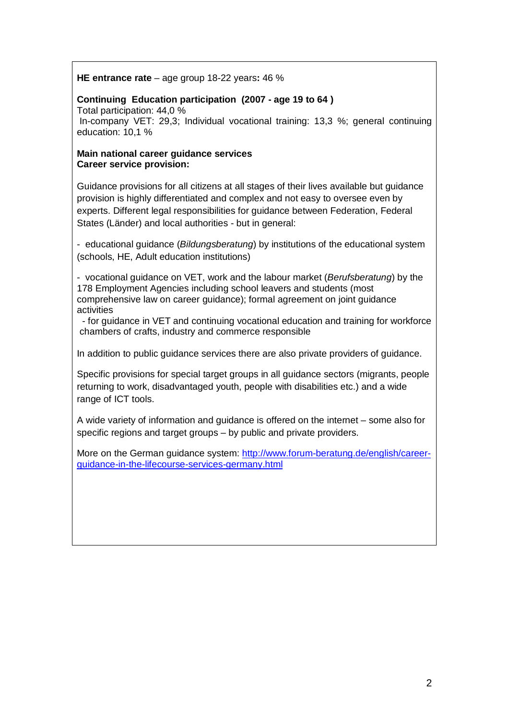#### **HE entrance rate** – age group 18-22 years**:** 46 %

### **Continuing Education participation (2007 - age 19 to 64 )**

Total participation: 44,0 %

In-company VET: 29,3; Individual vocational training: 13,3 %; general continuing education: 10,1 %

#### **Main national career guidance services Career service provision:**

Guidance provisions for all citizens at all stages of their lives available but guidance provision is highly differentiated and complex and not easy to oversee even by experts. Different legal responsibilities for guidance between Federation, Federal States (Länder) and local authorities - but in general:

- educational guidance (*Bildungsberatung*) by institutions of the educational system (schools, HE, Adult education institutions)

- vocational guidance on VET, work and the labour market (*Berufsberatung*) by the 178 Employment Agencies including school leavers and students (most comprehensive law on career guidance); formal agreement on joint guidance activities

- for guidance in VET and continuing vocational education and training for workforce chambers of crafts, industry and commerce responsible

In addition to public guidance services there are also private providers of guidance.

Specific provisions for special target groups in all guidance sectors (migrants, people returning to work, disadvantaged youth, people with disabilities etc.) and a wide range of ICT tools.

A wide variety of information and guidance is offered on the internet – some also for specific regions and target groups – by public and private providers.

More on the German guidance system: [http://www.forum-beratung.de/english/career](http://www.forum-beratung.de/english/career-guidance-in-the-lifecourse-services-germany.html)[guidance-in-the-lifecourse-services-germany.html](http://www.forum-beratung.de/english/career-guidance-in-the-lifecourse-services-germany.html)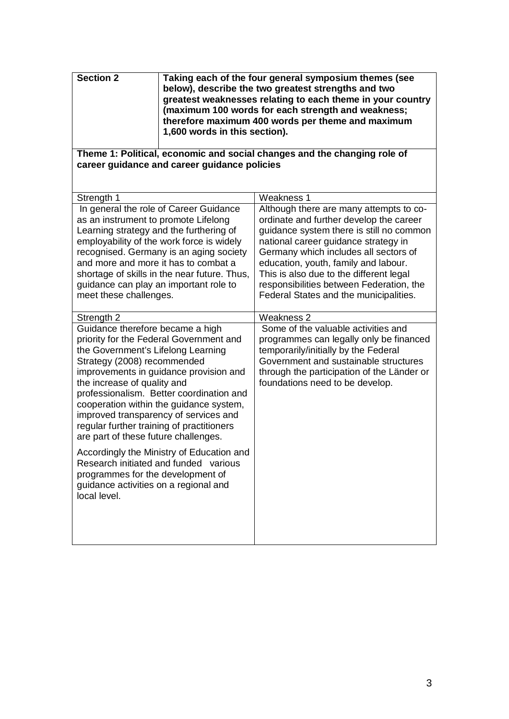| <b>Section 2</b>                                                                                                                                                                                                                                                                                                                                                                                                                                                                            | Taking each of the four general symposium themes (see<br>below), describe the two greatest strengths and two<br>greatest weaknesses relating to each theme in your country<br>(maximum 100 words for each strength and weakness;<br>therefore maximum 400 words per theme and maximum<br>1,600 words in this section). |                                                                                                                                                                                                                                                                                                                                                                                          |  |  |  |
|---------------------------------------------------------------------------------------------------------------------------------------------------------------------------------------------------------------------------------------------------------------------------------------------------------------------------------------------------------------------------------------------------------------------------------------------------------------------------------------------|------------------------------------------------------------------------------------------------------------------------------------------------------------------------------------------------------------------------------------------------------------------------------------------------------------------------|------------------------------------------------------------------------------------------------------------------------------------------------------------------------------------------------------------------------------------------------------------------------------------------------------------------------------------------------------------------------------------------|--|--|--|
| Theme 1: Political, economic and social changes and the changing role of<br>career guidance and career guidance policies                                                                                                                                                                                                                                                                                                                                                                    |                                                                                                                                                                                                                                                                                                                        |                                                                                                                                                                                                                                                                                                                                                                                          |  |  |  |
| Strength 1                                                                                                                                                                                                                                                                                                                                                                                                                                                                                  |                                                                                                                                                                                                                                                                                                                        | Weakness 1                                                                                                                                                                                                                                                                                                                                                                               |  |  |  |
| In general the role of Career Guidance<br>as an instrument to promote Lifelong<br>Learning strategy and the furthering of<br>employability of the work force is widely<br>recognised. Germany is an aging society<br>and more and more it has to combat a<br>shortage of skills in the near future. Thus,<br>guidance can play an important role to<br>meet these challenges.                                                                                                               |                                                                                                                                                                                                                                                                                                                        | Although there are many attempts to co-<br>ordinate and further develop the career<br>guidance system there is still no common<br>national career guidance strategy in<br>Germany which includes all sectors of<br>education, youth, family and labour.<br>This is also due to the different legal<br>responsibilities between Federation, the<br>Federal States and the municipalities. |  |  |  |
| Strength 2                                                                                                                                                                                                                                                                                                                                                                                                                                                                                  |                                                                                                                                                                                                                                                                                                                        | Weakness 2                                                                                                                                                                                                                                                                                                                                                                               |  |  |  |
| Guidance therefore became a high<br>priority for the Federal Government and<br>the Government's Lifelong Learning<br>Strategy (2008) recommended<br>improvements in guidance provision and<br>the increase of quality and<br>professionalism. Better coordination and<br>cooperation within the guidance system,<br>improved transparency of services and<br>regular further training of practitioners<br>are part of these future challenges.<br>Accordingly the Ministry of Education and |                                                                                                                                                                                                                                                                                                                        | Some of the valuable activities and<br>programmes can legally only be financed<br>temporarily/initially by the Federal<br>Government and sustainable structures<br>through the participation of the Länder or<br>foundations need to be develop.                                                                                                                                         |  |  |  |
| programmes for the development of<br>guidance activities on a regional and<br>local level.                                                                                                                                                                                                                                                                                                                                                                                                  | Research initiated and funded various                                                                                                                                                                                                                                                                                  |                                                                                                                                                                                                                                                                                                                                                                                          |  |  |  |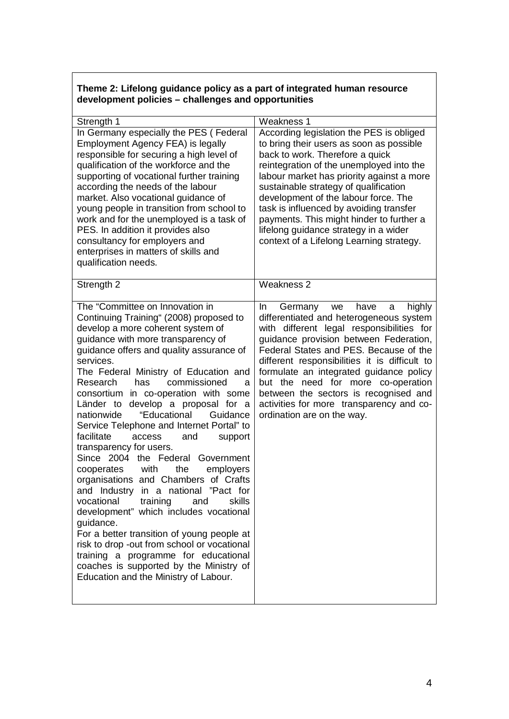## **Theme 2: Lifelong guidance policy as a part of integrated human resource development policies – challenges and opportunities**

| Strength 1                                                                                                                                                                                                                                                                                                                                                                                                                                                                                                                                                                                                                                                                                                                                                                                                                                                                                                                                                                                                                             | <b>Weakness 1</b>                                                                                                                                                                                                                                                                                                                                                                                                                                                             |
|----------------------------------------------------------------------------------------------------------------------------------------------------------------------------------------------------------------------------------------------------------------------------------------------------------------------------------------------------------------------------------------------------------------------------------------------------------------------------------------------------------------------------------------------------------------------------------------------------------------------------------------------------------------------------------------------------------------------------------------------------------------------------------------------------------------------------------------------------------------------------------------------------------------------------------------------------------------------------------------------------------------------------------------|-------------------------------------------------------------------------------------------------------------------------------------------------------------------------------------------------------------------------------------------------------------------------------------------------------------------------------------------------------------------------------------------------------------------------------------------------------------------------------|
| In Germany especially the PES (Federal<br>Employment Agency FEA) is legally<br>responsible for securing a high level of<br>qualification of the workforce and the<br>supporting of vocational further training<br>according the needs of the labour<br>market. Also vocational guidance of<br>young people in transition from school to<br>work and for the unemployed is a task of<br>PES. In addition it provides also<br>consultancy for employers and<br>enterprises in matters of skills and<br>qualification needs.                                                                                                                                                                                                                                                                                                                                                                                                                                                                                                              | According legislation the PES is obliged<br>to bring their users as soon as possible<br>back to work. Therefore a quick<br>reintegration of the unemployed into the<br>labour market has priority against a more<br>sustainable strategy of qualification<br>development of the labour force. The<br>task is influenced by avoiding transfer<br>payments. This might hinder to further a<br>lifelong guidance strategy in a wider<br>context of a Lifelong Learning strategy. |
| Strength 2                                                                                                                                                                                                                                                                                                                                                                                                                                                                                                                                                                                                                                                                                                                                                                                                                                                                                                                                                                                                                             | Weakness 2                                                                                                                                                                                                                                                                                                                                                                                                                                                                    |
| The "Committee on Innovation in<br>Continuing Training" (2008) proposed to<br>develop a more coherent system of<br>guidance with more transparency of<br>guidance offers and quality assurance of<br>services.<br>The Federal Ministry of Education and<br>commissioned<br>Research<br>has<br>a<br>consortium in co-operation with some<br>Länder to develop a proposal for a<br>"Educational<br>nationwide<br>Guidance<br>Service Telephone and Internet Portal" to<br>facilitate<br>and<br>access<br>support<br>transparency for users.<br>Since 2004 the Federal<br>Government<br>the<br>employers<br>cooperates<br>with<br>organisations and Chambers of Crafts<br>and Industry in a national "Pact for<br>vocational<br>training<br>skills<br>and<br>development" which includes vocational<br>guidance.<br>For a better transition of young people at<br>risk to drop -out from school or vocational<br>training a programme for educational<br>coaches is supported by the Ministry of<br>Education and the Ministry of Labour. | highly<br>In<br>Germany<br>have<br>we<br>a<br>differentiated and heterogeneous system<br>with different legal responsibilities for<br>guidance provision between Federation,<br>Federal States and PES. Because of the<br>different responsibilities it is difficult to<br>formulate an integrated guidance policy<br>but the need for more co-operation<br>between the sectors is recognised and<br>activities for more transparency and co-<br>ordination are on the way.   |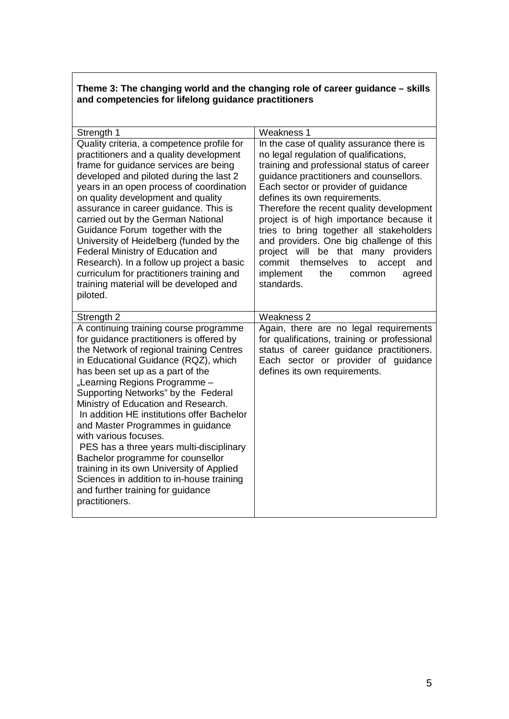## **Theme 3: The changing world and the changing role of career guidance – skills and competencies for lifelong guidance practitioners**

| Strength 1                                                                                                                                                                                                                                                                                                                                                                                                                                                                                                                                                                                                                                                              | Weakness 1                                                                                                                                                                                                                                                                                                                                                                                                                                                                                                                                                                             |
|-------------------------------------------------------------------------------------------------------------------------------------------------------------------------------------------------------------------------------------------------------------------------------------------------------------------------------------------------------------------------------------------------------------------------------------------------------------------------------------------------------------------------------------------------------------------------------------------------------------------------------------------------------------------------|----------------------------------------------------------------------------------------------------------------------------------------------------------------------------------------------------------------------------------------------------------------------------------------------------------------------------------------------------------------------------------------------------------------------------------------------------------------------------------------------------------------------------------------------------------------------------------------|
| Quality criteria, a competence profile for<br>practitioners and a quality development<br>frame for guidance services are being<br>developed and piloted during the last 2<br>years in an open process of coordination<br>on quality development and quality<br>assurance in career guidance. This is<br>carried out by the German National<br>Guidance Forum together with the<br>University of Heidelberg (funded by the<br><b>Federal Ministry of Education and</b><br>Research). In a follow up project a basic<br>curriculum for practitioners training and<br>training material will be developed and<br>piloted.                                                  | In the case of quality assurance there is<br>no legal regulation of qualifications,<br>training and professional status of career<br>guidance practitioners and counsellors.<br>Each sector or provider of guidance<br>defines its own requirements.<br>Therefore the recent quality development<br>project is of high importance because it<br>tries to bring together all stakeholders<br>and providers. One big challenge of this<br>project<br>will<br>be that many providers<br>commit<br>themselves<br>to<br>accept<br>and<br>implement<br>the<br>common<br>agreed<br>standards. |
| Strength 2                                                                                                                                                                                                                                                                                                                                                                                                                                                                                                                                                                                                                                                              | Weakness 2                                                                                                                                                                                                                                                                                                                                                                                                                                                                                                                                                                             |
| A continuing training course programme<br>for guidance practitioners is offered by<br>the Network of regional training Centres<br>in Educational Guidance (RQZ), which<br>has been set up as a part of the<br>"Learning Regions Programme -<br>Supporting Networks" by the Federal<br>Ministry of Education and Research.<br>In addition HE institutions offer Bachelor<br>and Master Programmes in guidance<br>with various focuses.<br>PES has a three years multi-disciplinary<br>Bachelor programme for counsellor<br>training in its own University of Applied<br>Sciences in addition to in-house training<br>and further training for guidance<br>practitioners. | Again, there are no legal requirements<br>for qualifications, training or professional<br>status of career guidance practitioners.<br>Each sector or provider of guidance<br>defines its own requirements.                                                                                                                                                                                                                                                                                                                                                                             |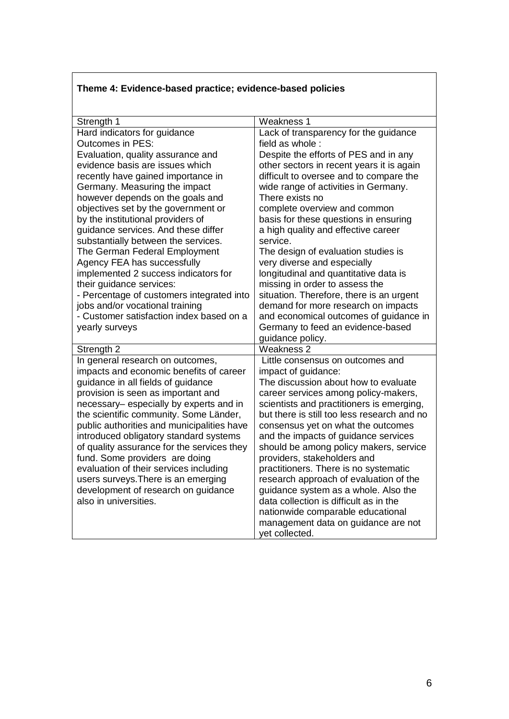# **Theme 4: Evidence-based practice; evidence-based policies**

| Strength 1                                 | Weakness 1                                            |  |  |
|--------------------------------------------|-------------------------------------------------------|--|--|
| Hard indicators for guidance               | Lack of transparency for the guidance                 |  |  |
| <b>Outcomes in PES:</b>                    | field as whole:                                       |  |  |
| Evaluation, quality assurance and          | Despite the efforts of PES and in any                 |  |  |
| evidence basis are issues which            | other sectors in recent years it is again             |  |  |
| recently have gained importance in         | difficult to oversee and to compare the               |  |  |
| Germany. Measuring the impact              | wide range of activities in Germany.                  |  |  |
| however depends on the goals and           | There exists no                                       |  |  |
| objectives set by the government or        | complete overview and common                          |  |  |
| by the institutional providers of          | basis for these questions in ensuring                 |  |  |
| guidance services. And these differ        | a high quality and effective career                   |  |  |
| substantially between the services.        | service.                                              |  |  |
| The German Federal Employment              | The design of evaluation studies is                   |  |  |
| Agency FEA has successfully                | very diverse and especially                           |  |  |
| implemented 2 success indicators for       | longitudinal and quantitative data is                 |  |  |
| their guidance services:                   | missing in order to assess the                        |  |  |
| - Percentage of customers integrated into  | situation. Therefore, there is an urgent              |  |  |
| jobs and/or vocational training            | demand for more research on impacts                   |  |  |
| - Customer satisfaction index based on a   | and economical outcomes of guidance in                |  |  |
|                                            |                                                       |  |  |
| yearly surveys                             | Germany to feed an evidence-based                     |  |  |
|                                            | guidance policy.                                      |  |  |
| Strength 2                                 | <b>Weakness 2</b>                                     |  |  |
| In general research on outcomes,           | Little consensus on outcomes and                      |  |  |
| impacts and economic benefits of career    | impact of guidance:                                   |  |  |
| guidance in all fields of guidance         | The discussion about how to evaluate                  |  |  |
| provision is seen as important and         | career services among policy-makers,                  |  |  |
| necessary- especially by experts and in    | scientists and practitioners is emerging,             |  |  |
| the scientific community. Some Länder,     | but there is still too less research and no           |  |  |
| public authorities and municipalities have | consensus yet on what the outcomes                    |  |  |
| introduced obligatory standard systems     | and the impacts of guidance services                  |  |  |
| of quality assurance for the services they | should be among policy makers, service                |  |  |
| fund. Some providers are doing             | providers, stakeholders and                           |  |  |
| evaluation of their services including     | practitioners. There is no systematic                 |  |  |
| users surveys. There is an emerging        | research approach of evaluation of the                |  |  |
| development of research on guidance        | guidance system as a whole. Also the                  |  |  |
| also in universities.                      | data collection is difficult as in the                |  |  |
|                                            | nationwide comparable educational                     |  |  |
|                                            | management data on guidance are not<br>vet collected. |  |  |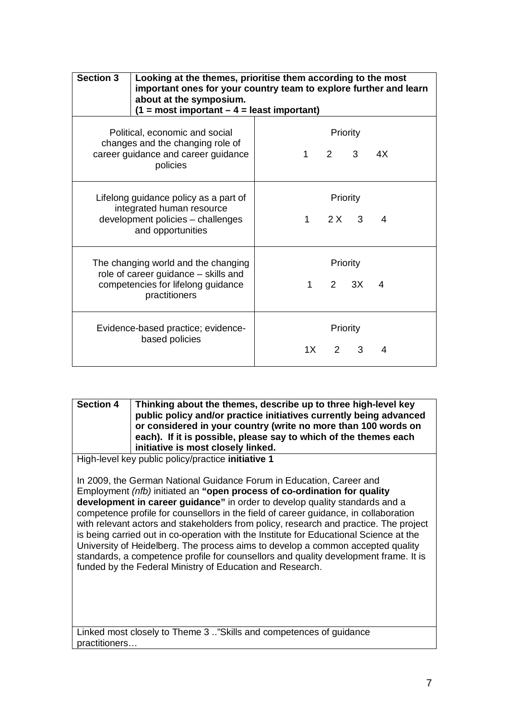| <b>Section 3</b>                                                                                                                   | Looking at the themes, prioritise them according to the most<br>important ones for your country team to explore further and learn<br>about at the symposium.<br>$(1 = most important - 4 = least important)$ |                                          |                           |              |    |
|------------------------------------------------------------------------------------------------------------------------------------|--------------------------------------------------------------------------------------------------------------------------------------------------------------------------------------------------------------|------------------------------------------|---------------------------|--------------|----|
| Political, economic and social<br>changes and the changing role of<br>career guidance and career guidance<br>policies              |                                                                                                                                                                                                              | 1.                                       | Priority<br>$2^{\circ}$   | 3            | 4X |
| Lifelong guidance policy as a part of<br>integrated human resource<br>development policies - challenges<br>and opportunities       |                                                                                                                                                                                                              | Priority<br>$\mathbf 1$<br>2 X<br>3<br>4 |                           |              |    |
| The changing world and the changing<br>role of career guidance - skills and<br>competencies for lifelong guidance<br>practitioners |                                                                                                                                                                                                              | 1                                        | Priority                  | $2 \quad 3X$ | 4  |
| Evidence-based practice; evidence-<br>based policies                                                                               |                                                                                                                                                                                                              | 1X                                       | Priority<br>$\mathcal{P}$ | 3            | 4  |

**Section 4 Thinking about the themes, describe up to three high-level key public policy and/or practice initiatives currently being advanced or considered in your country (write no more than 100 words on each). If it is possible, please say to which of the themes each initiative is most closely linked.**

High-level key public policy/practice **initiative 1**

In 2009, the German National Guidance Forum in Education, Career and Employment *(nfb)* initiated an **"open process of co-ordination for quality development in career guidance"** in order to develop quality standards and a competence profile for counsellors in the field of career guidance, in collaboration with relevant actors and stakeholders from policy, research and practice. The project is being carried out in co-operation with the Institute for Educational Science at the University of Heidelberg. The process aims to develop a common accepted quality standards, a competence profile for counsellors and quality development frame. It is funded by the Federal Ministry of Education and Research.

Linked most closely to Theme 3 .."Skills and competences of guidance practitioners…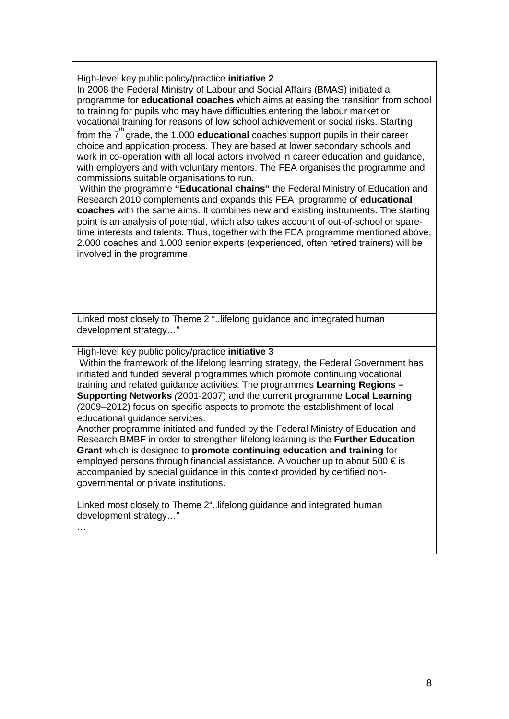High-level key public policy/practice **initiative 2**

In 2008 the Federal Ministry of Labour and Social Affairs (BMAS) initiated a programme for **educational coaches** which aims at easing the transition from school to training for pupils who may have difficulties entering the labour market or vocational training for reasons of low school achievement or social risks. Starting

from the 7<sup>th</sup> grade, the 1.000 **educational** coaches support pupils in their career choice and application process. They are based at lower secondary schools and work in co-operation with all local actors involved in career education and guidance, with employers and with voluntary mentors. The FEA organises the programme and commissions suitable organisations to run.

Within the programme **"Educational chains"** the Federal Ministry of Education and Research 2010 complements and expands this FEA programme of **educational coaches** with the same aims. It combines new and existing instruments. The starting point is an analysis of potential, which also takes account of out-of-school or sparetime interests and talents. Thus, together with the FEA programme mentioned above, 2.000 coaches and 1.000 senior experts (experienced, often retired trainers) will be involved in the programme.

Linked most closely to Theme 2 "..lifelong guidance and integrated human development strategy…"

High-level key public policy/practice **initiative 3**

Within the framework of the lifelong learning strategy, the Federal Government has initiated and funded several programmes which promote continuing vocational training and related guidance activities. The programmes **Learning Regions – Supporting Networks** *(*2001-2007) and the current programme **Local Learning**  *(*2009–2012) focus on specific aspects to promote the establishment of local educational guidance services.

Another programme initiated and funded by the Federal Ministry of Education and Research BMBF in order to strengthen lifelong learning is the **Further Education Grant** which is designed to **promote continuing education and training** for employed persons through financial assistance. A voucher up to about 500 € is accompanied by special guidance in this context provided by certified nongovernmental or private institutions.

Linked most closely to Theme 2"..lifelong guidance and integrated human development strategy…"

…